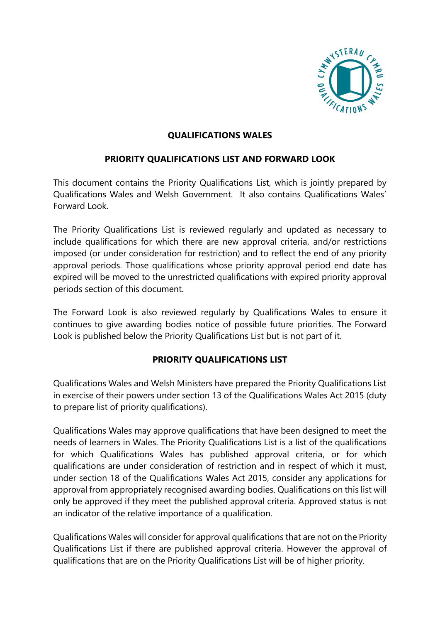

## **QUALIFICATIONS WALES**

# **PRIORITY QUALIFICATIONS LIST AND FORWARD LOOK**

This document contains the Priority Qualifications List, which is jointly prepared by Qualifications Wales and Welsh Government. It also contains Qualifications Wales' Forward Look.

The Priority Qualifications List is reviewed regularly and updated as necessary to include qualifications for which there are new approval criteria, and/or restrictions imposed (or under consideration for restriction) and to reflect the end of any priority approval periods. Those qualifications whose priority approval period end date has expired will be moved to the unrestricted qualifications with expired priority approval periods section of this document.

The Forward Look is also reviewed regularly by Qualifications Wales to ensure it continues to give awarding bodies notice of possible future priorities. The Forward Look is published below the Priority Qualifications List but is not part of it.

### **PRIORITY QUALIFICATIONS LIST**

Qualifications Wales and Welsh Ministers have prepared the Priority Qualifications List in exercise of their powers under section 13 of the Qualifications Wales Act 2015 (duty to prepare list of priority qualifications).

Qualifications Wales may approve qualifications that have been designed to meet the needs of learners in Wales. The Priority Qualifications List is a list of the qualifications for which Qualifications Wales has published approval criteria, or for which qualifications are under consideration of restriction and in respect of which it must, under section 18 of the Qualifications Wales Act 2015, consider any applications for approval from appropriately recognised awarding bodies. Qualifications on this list will only be approved if they meet the published approval criteria. Approved status is not an indicator of the relative importance of a qualification.

Qualifications Wales will consider for approval qualifications that are not on the Priority Qualifications List if there are published approval criteria. However the approval of qualifications that are on the Priority Qualifications List will be of higher priority.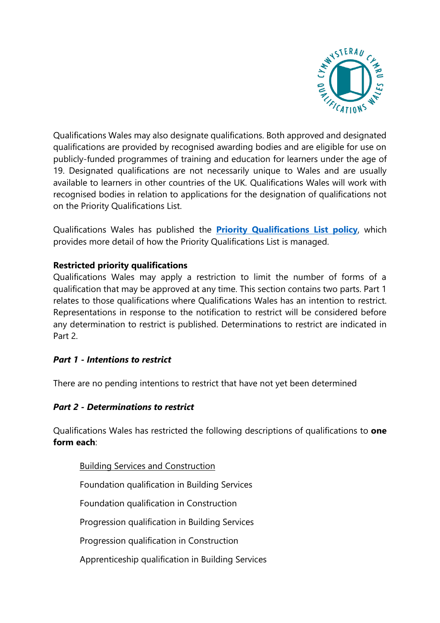

Qualifications Wales may also designate qualifications. Both approved and designated qualifications are provided by recognised awarding bodies and are eligible for use on publicly-funded programmes of training and education for learners under the age of 19. Designated qualifications are not necessarily unique to Wales and are usually available to learners in other countries of the UK. Qualifications Wales will work with recognised bodies in relation to applications for the designation of qualifications not on the Priority Qualifications List.

Qualifications Wales has published the **[Priority Qualifications List policy](http://qualificationswales.org/regulation/approval-of-qualifications/?lang=en&)**, which provides more detail of how the Priority Qualifications List is managed.

## **Restricted priority qualifications**

Qualifications Wales may apply a restriction to limit the number of forms of a qualification that may be approved at any time. This section contains two parts. Part 1 relates to those qualifications where Qualifications Wales has an intention to restrict. Representations in response to the notification to restrict will be considered before any determination to restrict is published. Determinations to restrict are indicated in Part 2.

### *Part 1 - Intentions to restrict*

There are no pending intentions to restrict that have not yet been determined

### *Part 2 - Determinations to restrict*

Qualifications Wales has restricted the following descriptions of qualifications to **one form each**:

Building Services and Construction Foundation qualification in Building Services Foundation qualification in Construction Progression qualification in Building Services Progression qualification in Construction Apprenticeship qualification in Building Services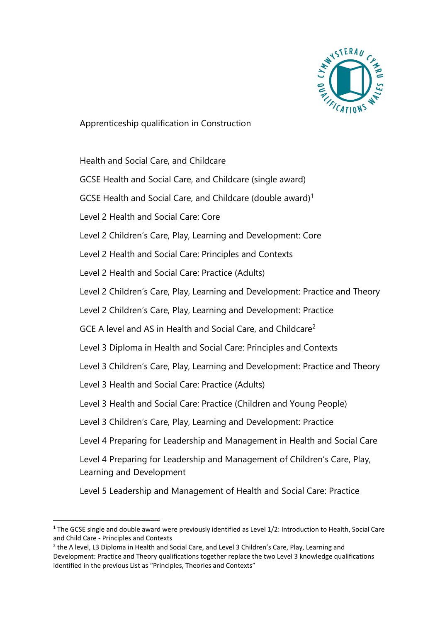

Apprenticeship qualification in Construction

### Health and Social Care, and Childcare

| GCSE Health and Social Care, and Childcare (single award)                                             |  |
|-------------------------------------------------------------------------------------------------------|--|
| GCSE Health and Social Care, and Childcare (double award) <sup>1</sup>                                |  |
| Level 2 Health and Social Care: Core                                                                  |  |
| Level 2 Children's Care, Play, Learning and Development: Core                                         |  |
| Level 2 Health and Social Care: Principles and Contexts                                               |  |
| Level 2 Health and Social Care: Practice (Adults)                                                     |  |
| Level 2 Children's Care, Play, Learning and Development: Practice and Theory                          |  |
| Level 2 Children's Care, Play, Learning and Development: Practice                                     |  |
| GCE A level and AS in Health and Social Care, and Childcare <sup>2</sup>                              |  |
| Level 3 Diploma in Health and Social Care: Principles and Contexts                                    |  |
| Level 3 Children's Care, Play, Learning and Development: Practice and Theory                          |  |
| Level 3 Health and Social Care: Practice (Adults)                                                     |  |
| Level 3 Health and Social Care: Practice (Children and Young People)                                  |  |
| Level 3 Children's Care, Play, Learning and Development: Practice                                     |  |
| Level 4 Preparing for Leadership and Management in Health and Social Care                             |  |
| Level 4 Preparing for Leadership and Management of Children's Care, Play,<br>Learning and Development |  |
| Level 5 Leadership and Management of Health and Social Care: Practice                                 |  |

**<sup>.</sup>** <sup>1</sup> The GCSE single and double award were previously identified as Level 1/2: Introduction to Health, Social Care and Child Care - Principles and Contexts

<sup>&</sup>lt;sup>2</sup> the A level, L3 Diploma in Health and Social Care, and Level 3 Children's Care, Play, Learning and Development: Practice and Theory qualifications together replace the two Level 3 knowledge qualifications identified in the previous List as "Principles, Theories and Contexts"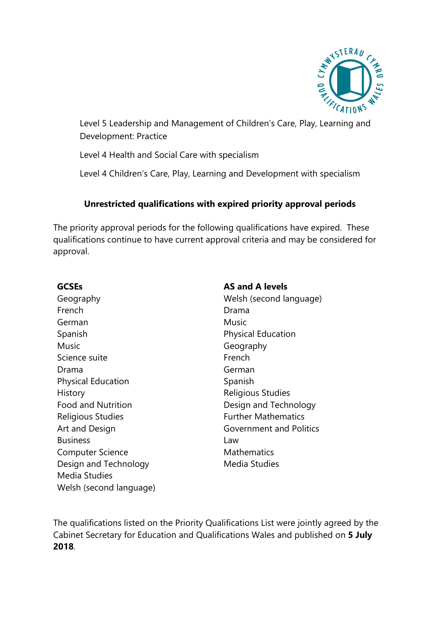

Level 5 Leadership and Management of Children's Care, Play, Learning and Development: Practice

Level 4 Health and Social Care with specialism

Level 4 Children's Care, Play, Learning and Development with specialism

# **Unrestricted qualifications with expired priority approval periods**

The priority approval periods for the following qualifications have expired. These qualifications continue to have current approval criteria and may be considered for approval.

Geography Welsh (second language) French **Drama** German Music Spanish **Physical Education** Music **Geography** Science suite French Drama German Physical Education Spanish History **Religious Studies** Food and Nutrition **Example 20** Design and Technology Religious Studies **Further Mathematics** Art and Design Government and Politics Business Law Computer Science Mathematics Design and Technology Media Studies Media Studies Welsh (second language)

**GCSEs AS and A levels**

The qualifications listed on the Priority Qualifications List were jointly agreed by the Cabinet Secretary for Education and Qualifications Wales and published on **5 July 2018**.